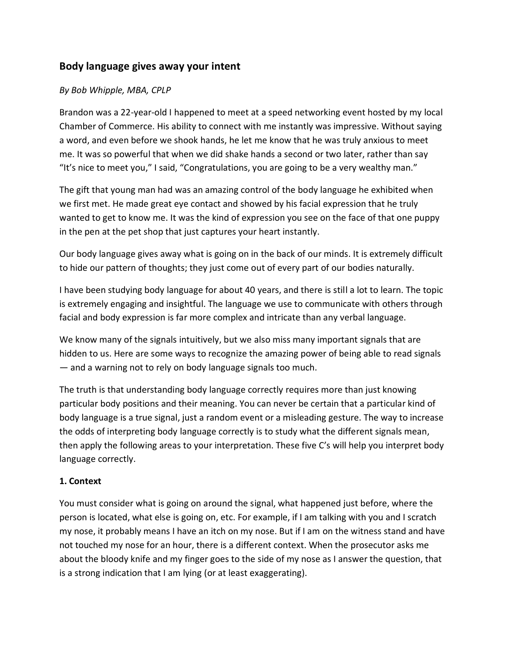# **Body language gives away your intent**

## *By Bob Whipple, MBA, CPLP*

Brandon was a 22-year-old I happened to meet at a speed networking event hosted by my local Chamber of Commerce. His ability to connect with me instantly was impressive. Without saying a word, and even before we shook hands, he let me know that he was truly anxious to meet me. It was so powerful that when we did shake hands a second or two later, rather than say "It's nice to meet you," I said, "Congratulations, you are going to be a very wealthy man."

The gift that young man had was an amazing control of the body language he exhibited when we first met. He made great eye contact and showed by his facial expression that he truly wanted to get to know me. It was the kind of expression you see on the face of that one puppy in the pen at the pet shop that just captures your heart instantly.

Our body language gives away what is going on in the back of our minds. It is extremely difficult to hide our pattern of thoughts; they just come out of every part of our bodies naturally.

I have been studying body language for about 40 years, and there is still a lot to learn. The topic is extremely engaging and insightful. The language we use to communicate with others through facial and body expression is far more complex and intricate than any verbal language.

We know many of the signals intuitively, but we also miss many important signals that are hidden to us. Here are some ways to recognize the amazing power of being able to read signals — and a warning not to rely on body language signals too much.

The truth is that understanding body language correctly requires more than just knowing particular body positions and their meaning. You can never be certain that a particular kind of body language is a true signal, just a random event or a misleading gesture. The way to increase the odds of interpreting body language correctly is to study what the different signals mean, then apply the following areas to your interpretation. These five C's will help you interpret body language correctly.

### **1. Context**

You must consider what is going on around the signal, what happened just before, where the person is located, what else is going on, etc. For example, if I am talking with you and I scratch my nose, it probably means I have an itch on my nose. But if I am on the witness stand and have not touched my nose for an hour, there is a different context. When the prosecutor asks me about the bloody knife and my finger goes to the side of my nose as I answer the question, that is a strong indication that I am lying (or at least exaggerating).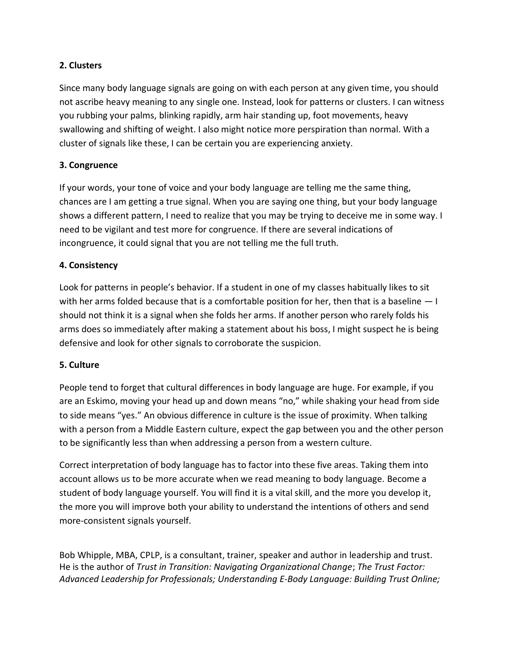## **2. Clusters**

Since many body language signals are going on with each person at any given time, you should not ascribe heavy meaning to any single one. Instead, look for patterns or clusters. I can witness you rubbing your palms, blinking rapidly, arm hair standing up, foot movements, heavy swallowing and shifting of weight. I also might notice more perspiration than normal. With a cluster of signals like these, I can be certain you are experiencing anxiety.

# **3. Congruence**

If your words, your tone of voice and your body language are telling me the same thing, chances are I am getting a true signal. When you are saying one thing, but your body language shows a different pattern, I need to realize that you may be trying to deceive me in some way. I need to be vigilant and test more for congruence. If there are several indications of incongruence, it could signal that you are not telling me the full truth.

# **4. Consistency**

Look for patterns in people's behavior. If a student in one of my classes habitually likes to sit with her arms folded because that is a comfortable position for her, then that is a baseline  $-1$ should not think it is a signal when she folds her arms. If another person who rarely folds his arms does so immediately after making a statement about his boss, I might suspect he is being defensive and look for other signals to corroborate the suspicion.

### **5. Culture**

People tend to forget that cultural differences in body language are huge. For example, if you are an Eskimo, moving your head up and down means "no," while shaking your head from side to side means "yes." An obvious difference in culture is the issue of proximity. When talking with a person from a Middle Eastern culture, expect the gap between you and the other person to be significantly less than when addressing a person from a western culture.

Correct interpretation of body language has to factor into these five areas. Taking them into account allows us to be more accurate when we read meaning to body language. Become a student of body language yourself. You will find it is a vital skill, and the more you develop it, the more you will improve both your ability to understand the intentions of others and send more-consistent signals yourself.

Bob Whipple, MBA, CPLP, is a consultant, trainer, speaker and author in leadership and trust. He is the author of *Trust in Transition: Navigating Organizational Change*; *The Trust Factor: Advanced Leadership for Professionals; Understanding E-Body Language: Building Trust Online;*